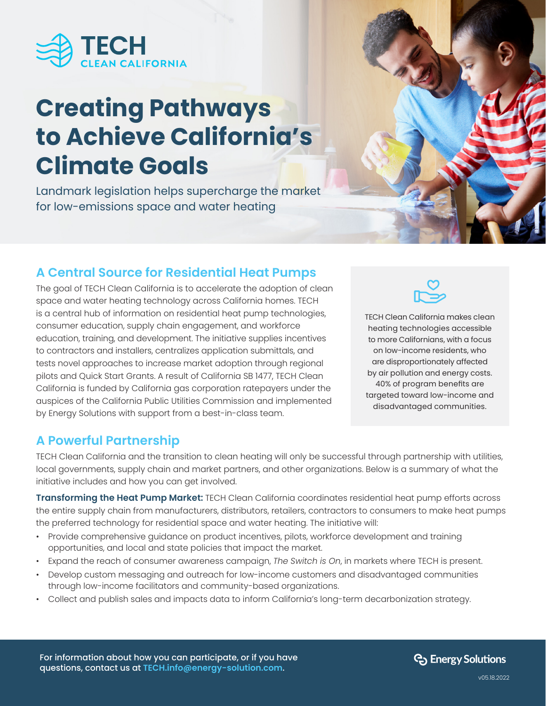

# **Creating Pathways to Achieve California's Climate Goals**

Landmark legislation helps supercharge the market for low-emissions space and water heating

# **A Central Source for Residential Heat Pumps**

The goal of TECH Clean California is to accelerate the adoption of clean space and water heating technology across California homes. TECH is a central hub of information on residential heat pump technologies, consumer education, supply chain engagement, and workforce education, training, and development. The initiative supplies incentives to contractors and installers, centralizes application submittals, and tests novel approaches to increase market adoption through regional pilots and Quick Start Grants. A result of California SB 1477, TECH Clean California is funded by California gas corporation ratepayers under the auspices of the California Public Utilities Commission and implemented by Energy Solutions with support from a best-in-class team.



TECH Clean California makes clean heating technologies accessible to more Californians, with a focus on low-income residents, who are disproportionately affected by air pollution and energy costs. 40% of program benefits are targeted toward low-income and disadvantaged communities.

## **A Powerful Partnership**

TECH Clean California and the transition to clean heating will only be successful through partnership with utilities, local governments, supply chain and market partners, and other organizations. Below is a summary of what the initiative includes and how you can get involved.

**Transforming the Heat Pump Market:** TECH Clean California coordinates residential heat pump efforts across the entire supply chain from manufacturers, distributors, retailers, contractors to consumers to make heat pumps the preferred technology for residential space and water heating. The initiative will:

- Provide comprehensive guidance on product incentives, pilots, workforce development and training opportunities, and local and state policies that impact the market.
- Expand the reach of consumer awareness campaign, *The Switch is On*, in markets where TECH is present.
- Develop custom messaging and outreach for low-income customers and disadvantaged communities through low-income facilitators and community-based organizations.
- Collect and publish sales and impacts data to inform California's long-term decarbonization strategy.